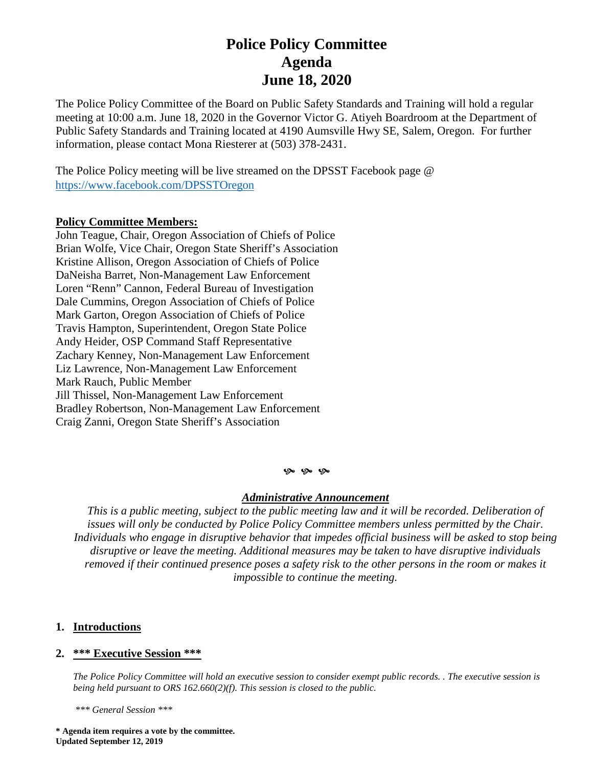# **Police Policy Committee Agenda June 18, 2020**

The Police Policy Committee of the Board on Public Safety Standards and Training will hold a regular meeting at 10:00 a.m. June 18, 2020 in the Governor Victor G. Atiyeh Boardroom at the Department of Public Safety Standards and Training located at 4190 Aumsville Hwy SE, Salem, Oregon. For further information, please contact Mona Riesterer at (503) 378-2431.

The Police Policy meeting will be live streamed on the DPSST Facebook page @ <https://www.facebook.com/DPSSTOregon>

## **Policy Committee Members:**

John Teague, Chair, Oregon Association of Chiefs of Police Brian Wolfe, Vice Chair, Oregon State Sheriff's Association Kristine Allison, Oregon Association of Chiefs of Police DaNeisha Barret, Non-Management Law Enforcement Loren "Renn" Cannon, Federal Bureau of Investigation Dale Cummins, Oregon Association of Chiefs of Police Mark Garton, Oregon Association of Chiefs of Police Travis Hampton, Superintendent, Oregon State Police Andy Heider, OSP Command Staff Representative Zachary Kenney, Non-Management Law Enforcement Liz Lawrence, Non-Management Law Enforcement Mark Rauch, Public Member Jill Thissel, Non-Management Law Enforcement Bradley Robertson, Non-Management Law Enforcement Craig Zanni, Oregon State Sheriff's Association

#### $9 - 9 - 9$

### *Administrative Announcement*

*This is a public meeting, subject to the public meeting law and it will be recorded. Deliberation of issues will only be conducted by Police Policy Committee members unless permitted by the Chair. Individuals who engage in disruptive behavior that impedes official business will be asked to stop being disruptive or leave the meeting. Additional measures may be taken to have disruptive individuals removed if their continued presence poses a safety risk to the other persons in the room or makes it impossible to continue the meeting.*

## **1. Introductions**

## **2. \*\*\* Executive Session \*\*\***

*The Police Policy Committee will hold an executive session to consider exempt public records. . The executive session is being held pursuant to ORS 162.660(2)(f). This session is closed to the public.* 

 *\*\*\* General Session \*\*\** 

**\* Agenda item requires a vote by the committee. Updated September 12, 2019**